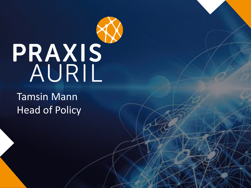# PRAXIS

Tamsin Mann Head of Policy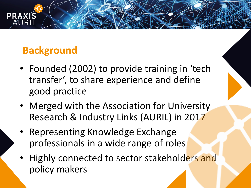## **Background**

**PRAXIS** 

- Founded (2002) to provide training in 'tech transfer', to share experience and define good practice
- Merged with the Association for University Research & Industry Links (AURIL) in 2017
- Representing Knowledge Exchange professionals in a wide range of roles
- Highly connected to sector stakeholders and policy makers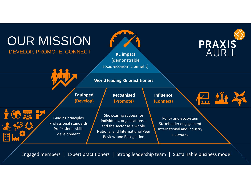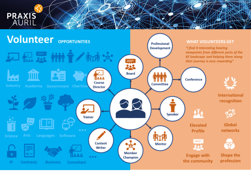

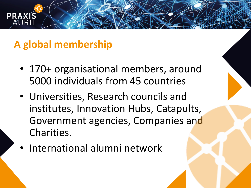## **A global membership**

**PRA** 

- 170+ organisational members, around 5000 individuals from 45 countries
- Universities, Research councils and institutes, Innovation Hubs, Catapults, Government agencies, Companies and Charities.
- International alumni network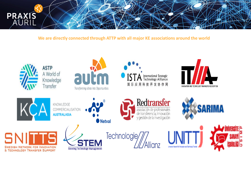

**We are directly connected through ATTP with all major KE associations around the world**

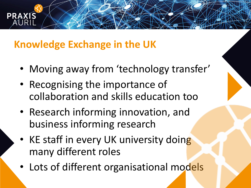## **Knowledge Exchange in the UK**

**PRAX** 

- Moving away from 'technology transfer'
- Recognising the importance of collaboration and skills education too
- Research informing innovation, and business informing research
- KE staff in every UK university doing many different roles
- Lots of different organisational models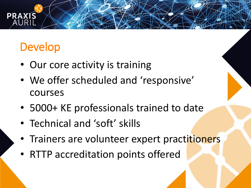# Develop

**PR** 

- Our core activity is training
- We offer scheduled and 'responsive' courses
- 5000+ KE professionals trained to date
- Technical and 'soft' skills
- Trainers are volunteer expert practitioners
- RTTP accreditation points offered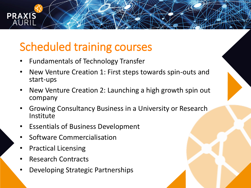# Scheduled training courses

- Fundamentals of Technology Transfer
- New Venture Creation 1: First steps towards spin-outs and start-ups
- New Venture Creation 2: Launching a high growth spin out company
- Growing Consultancy Business in a University or Research Institute
- Essentials of Business Development
- Software Commercialisation
- Practical Licensing

**PRAXIS** 

- Research Contracts
- Developing Strategic Partnerships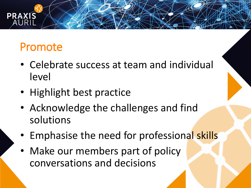# Promote

- Celebrate success at team and individual level
- Highlight best practice
- Acknowledge the challenges and find solutions
- Emphasise the need for professional skills
- Make our members part of policy conversations and decisions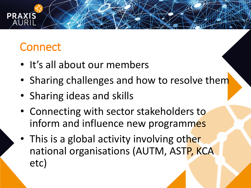# **Connect**

- It's all about our members
- Sharing challenges and how to resolve them
- Sharing ideas and skills
- Connecting with sector stakeholders to inform and influence new programmes
- This is a global activity involving other national organisations (AUTM, ASTP, KCA etc)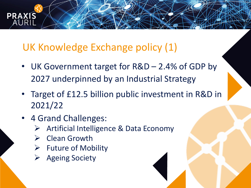## UK Knowledge Exchange policy (1)

- UK Government target for R&D 2.4% of GDP by 2027 underpinned by an Industrial Strategy
- Target of £12.5 billion public investment in R&D in 2021/22
- 4 Grand Challenges:

PRAXIS

- ➢ Artificial Intelligence & Data Economy
- ➢ Clean Growth
- $\triangleright$  Future of Mobility
- ➢ Ageing Society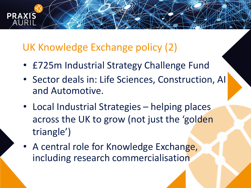### UK Knowledge Exchange policy (2)

**PRA** 

- £725m Industrial Strategy Challenge Fund
- Sector deals in: Life Sciences, Construction, AI and Automotive.
- Local Industrial Strategies helping places across the UK to grow (not just the 'golden triangle')
- A central role for Knowledge Exchange, including research commercialisation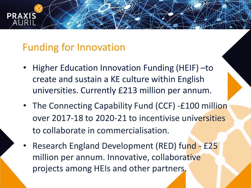### Funding for Innovation

**PRAX** 

- Higher Education Innovation Funding (HEIF) –to create and sustain a KE culture within English universities. Currently £213 million per annum.
- The Connecting Capability Fund (CCF) -£100 million over 2017-18 to 2020-21 to incentivise universities to collaborate in commercialisation.
- Research England Development (RED) fund £25 million per annum. Innovative, collaborative projects among HEIs and other partners.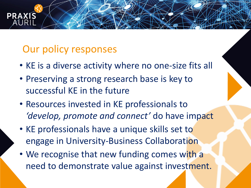### Our policy responses

**PRA** 

- KE is a diverse activity where no one-size fits all
- Preserving a strong research base is key to successful KE in the future
- Resources invested in KE professionals to *'develop, promote and connect'* do have impact
- KE professionals have a unique skills set to engage in University-Business Collaboration
- We recognise that new funding comes with a need to demonstrate value against investment.